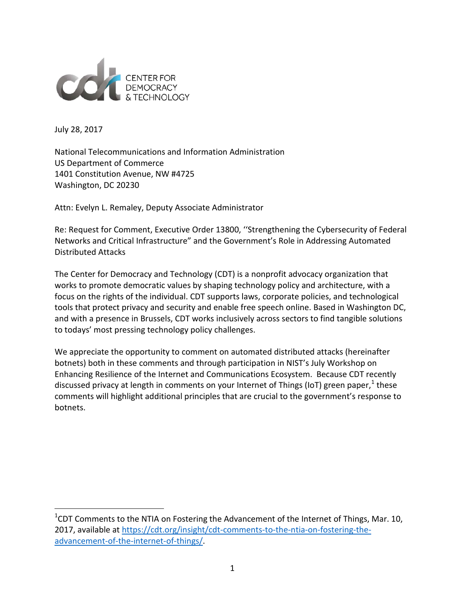

July 28, 2017

National Telecommunications and Information Administration US Department of Commerce 1401 Constitution Avenue, NW #4725 Washington, DC 20230

Attn: Evelyn L. Remaley, Deputy Associate Administrator

Re: Request for Comment, Executive Order 13800, ''Strengthening the Cybersecurity of Federal Networks and Critical Infrastructure" and the Government's Role in Addressing Automated Distributed Attacks

The Center for Democracy and Technology (CDT) is a nonprofit advocacy organization that works to promote democratic values by shaping technology policy and architecture, with a focus on the rights of the individual. CDT supports laws, corporate policies, and technological tools that protect privacy and security and enable free speech online. Based in Washington DC, and with a presence in Brussels, CDT works inclusively across sectors to find tangible solutions to todays' most pressing technology policy challenges.

We appreciate the opportunity to comment on automated distributed attacks (hereinafter botnets) both in these comments and through participation in NIST's July Workshop on Enhancing Resilience of the Internet and Communications Ecosystem. Because CDT recently discussed privacy at length in comments on your Internet of Things (IoT) green paper, $1$  these comments will highlight additional principles that are crucial to the government's response to botnets.

<span id="page-0-0"></span><sup>&</sup>lt;u>Land Comments to the NTIA on Fostering the Advancement of the Internet of Things, Mar. 10, </u><br><sup>1</sup>CDT Comments to the NTIA on Fostering the Advancement of the Internet of Things, Mar. 10, 2017, available at [https://cdt.org/insight/cdt-comments-to-the-ntia-on-fostering-the](https://cdt.org/insight/cdt-comments-to-the-ntia-on-fostering-the-advancement-of-the-internet-of-things/)[advancement-of-the-internet-of-things/.](https://cdt.org/insight/cdt-comments-to-the-ntia-on-fostering-the-advancement-of-the-internet-of-things/)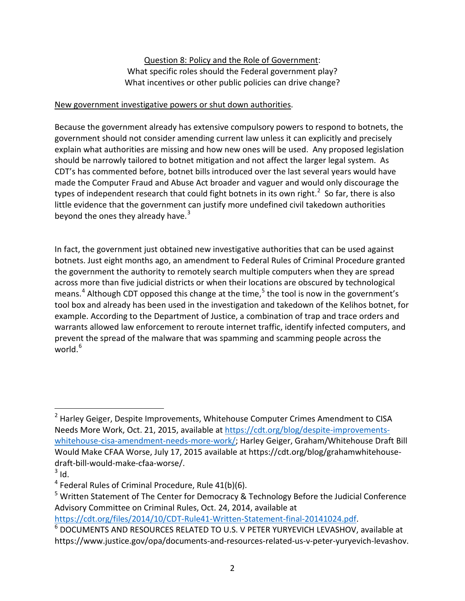Question 8: Policy and the Role of Government: What specific roles should the Federal government play? What incentives or other public policies can drive change?

## New government investigative powers or shut down authorities.

Because the government already has extensive compulsory powers to respond to botnets, the government should not consider amending current law unless it can explicitly and precisely explain what authorities are missing and how new ones will be used. Any proposed legislation should be narrowly tailored to botnet mitigation and not affect the larger legal system. As CDT's has commented before, botnet bills introduced over the last several years would have made the Computer Fraud and Abuse Act broader and vaguer and would only discourage the types of independent research that could fight botnets in its own right.<sup>[2](#page-1-0)</sup> So far, there is also little evidence that the government can justify more undefined civil takedown authorities beyond the ones they already have. $3$ 

In fact, the government just obtained new investigative authorities that can be used against botnets. Just eight months ago, an amendment to Federal Rules of Criminal Procedure granted the government the authority to remotely search multiple computers when they are spread across more than five judicial districts or when their locations are obscured by technological means.<sup>[4](#page-1-2)</sup> Although CDT opposed this change at the time,<sup>[5](#page-1-3)</sup> the tool is now in the government's tool box and already has been used in the investigation and takedown of the Kelihos botnet, for example. According to the Department of Justice, a combination of trap and trace orders and warrants allowed law enforcement to reroute internet traffic, identify infected computers, and prevent the spread of the malware that was spamming and scamming people across the world. [6](#page-1-4)

<span id="page-1-0"></span><sup>&</sup>lt;sup>2</sup> Harley Geiger, Despite Improvements, Whitehouse Computer Crimes Amendment to CISA Needs More Work, Oct. 21, 2015, available at [https://cdt.org/blog/despite-improvements](https://cdt.org/blog/despite-improvements-whitehouse-cisa-amendment-needs-more-work/)[whitehouse-cisa-amendment-needs-more-work/;](https://cdt.org/blog/despite-improvements-whitehouse-cisa-amendment-needs-more-work/) Harley Geiger, Graham/Whitehouse Draft Bill Would Make CFAA Worse, July 17, 2015 available at https://cdt.org/blog/grahamwhitehousedraft-bill-would-make-cfaa-worse/.<br> $3$  Id.

<span id="page-1-2"></span><span id="page-1-1"></span> $4$  Federal Rules of Criminal Procedure, Rule 41(b)(6).

<span id="page-1-3"></span><sup>&</sup>lt;sup>5</sup> Written Statement of The Center for Democracy & Technology Before the Judicial Conference Advisory Committee on Criminal Rules, Oct. 24, 2014, available at

<span id="page-1-4"></span>[https://cdt.org/files/2014/10/CDT-Rule41-Written-Statement-final-20141024.pdf.](https://cdt.org/files/2014/10/CDT-Rule41-Written-Statement-final-20141024.pdf)<br><sup>[6](https://cdt.org/files/2014/10/CDT-Rule41-Written-Statement-final-20141024.pdf)</sup> DOCUMENTS AND RESOURCES RELATED TO U.S. V PETER YURYEVICH LEVASHOV, available at https://www.justice.gov/opa/documents-and-resources-related-us-v-peter-yuryevich-levashov.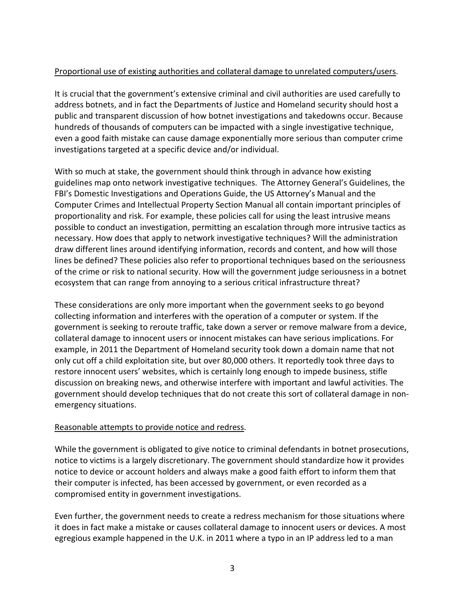## Proportional use of existing authorities and collateral damage to unrelated computers/users.

It is crucial that the government's extensive criminal and civil authorities are used carefully to address botnets, and in fact the Departments of Justice and Homeland security should host a public and transparent discussion of how botnet investigations and takedowns occur. Because hundreds of thousands of computers can be impacted with a single investigative technique, even a good faith mistake can cause damage exponentially more serious than computer crime investigations targeted at a specific device and/or individual.

With so much at stake, the government should think through in advance how existing guidelines map onto network investigative techniques. The Attorney General's Guidelines, the FBI's Domestic Investigations and Operations Guide, the US Attorney's Manual and the Computer Crimes and Intellectual Property Section Manual all contain important principles of proportionality and risk. For example, these policies call for using the least intrusive means possible to conduct an investigation, permitting an escalation through more intrusive tactics as necessary. How does that apply to network investigative techniques? Will the administration draw different lines around identifying information, records and content, and how will those lines be defined? These policies also refer to proportional techniques based on the seriousness of the crime or risk to national security. How will the government judge seriousness in a botnet ecosystem that can range from annoying to a serious critical infrastructure threat?

These considerations are only more important when the government seeks to go beyond collecting information and interferes with the operation of a computer or system. If the government is seeking to reroute traffic, take down a server or remove malware from a device, collateral damage to innocent users or innocent mistakes can have serious implications. For example, in 2011 the Department of Homeland security took down a domain name that not only cut off a child exploitation site, but over 80,000 others. It reportedly took three days to restore innocent users' websites, which is certainly long enough to impede business, stifle discussion on breaking news, and otherwise interfere with important and lawful activities. The government should develop techniques that do not create this sort of collateral damage in nonemergency situations.

## Reasonable attempts to provide notice and redress.

While the government is obligated to give notice to criminal defendants in botnet prosecutions, notice to victims is a largely discretionary. The government should standardize how it provides notice to device or account holders and always make a good faith effort to inform them that their computer is infected, has been accessed by government, or even recorded as a compromised entity in government investigations.

Even further, the government needs to create a redress mechanism for those situations where it does in fact make a mistake or causes collateral damage to innocent users or devices. A most egregious example happened in the U.K. in 2011 where a typo in an IP address led to a man